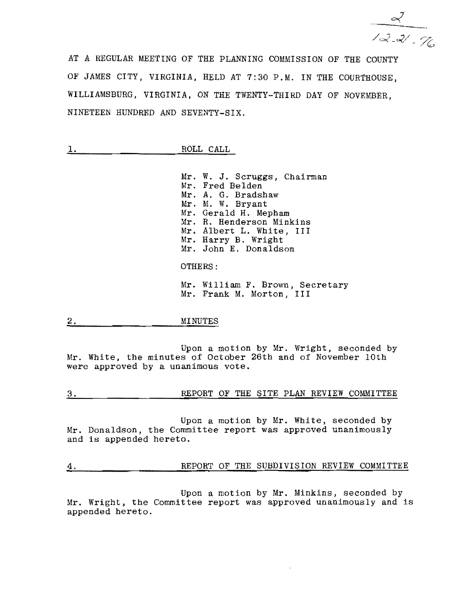$\frac{2}{\sqrt{2-x^2}}$ 

AT A REGULAR MEETING OF THE PLANNING COMMISSION OF THE COUNTY OF JAMES CITY, VIRGINIA, HELD AT 7:30 P.M. IN THE COURTHOUSE, WILLIAMSBURG, VIRGINIA, ON THE TWENTY-THIRD DAY OF NOVEMBER, NINETEEN HUNDRED AND SEVENTY-SIX.

| <b>SHARE</b><br>-                               | ROLL | CALL |
|-------------------------------------------------|------|------|
| <br><br>700000-0-0-0-<br>---<br><br>-----<br>__ |      |      |

Mr. W. J. Scruggs, Chairman Mr. Fred Belden Mr. A. G. Bradshaw Mr. M. W. Bryant Mr. Gerald H. Mepham Mr. R. Henderson Minkins Mr. Albert L. White, III Mr. Harry B. Wright Mr. John E. Donaldson OTHERS: Mr. William F. Brown, Secretary

Mr. Frank M. Morton, I II

# 2. MINUTES

Upon a motion by Mr. Wright, seconded by Mr. White, the minutes of October 26th and of November 10th were approved by a unanimous vote.

3. REPORT OF THE SITE PLAN REVIEW COMMITTEE

Upon a motion by Mr. White, seconded by Mr. Donaldson, the Committee report was approved unanimously and is appended hereto.

4. REPORT OF THE SUBDIVISION REVIEW COMMITTEE

Upon a motion by Mr. Minkins, seconded by Mr. Wright, the Committee report was approved unanimously and is appended hereto.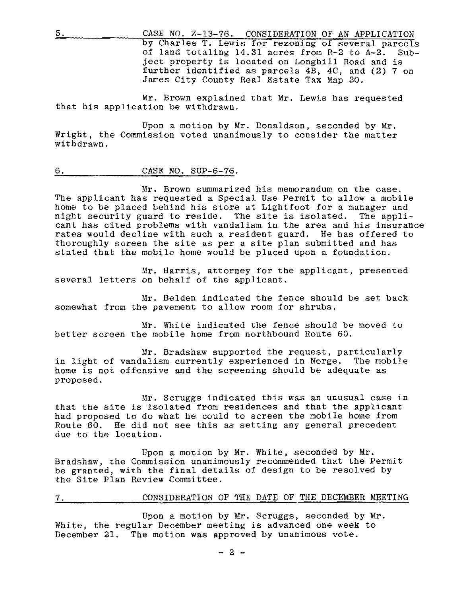5. CASE NO. Z-13-76. CONSIDERATION OF AN APPLICATION by Charles T. Lewis for rezoning of several parcels of land totaling 14.31 acres from R-2 to A-2. Subject property is located on Longhill Road and is further identified as parcels 4B, 4C, and (2) 7 on James City County Real Estate Tax Map 20.

Mr. Brown explained that Mr. Lewis has requested that his application be withdrawn.

Upon a motion by Mr. Donaldson, seconded by Mr. Wright, the Commission voted unanimously to consider the matter withdrawn.

#### 6. CASE NO. SUP-6-76.

Mr. Brown summarized his memorandum on the case. The applicant has requested a Special Use Permit to allow a mobile home to be placed behind his store at Lightfoot for a manager and night security guard to reside. The site is isolated. The applinight security guard to reside. The site is isolated. cant has cited problems with vandalism in the area and his insurance rates would decline with such a resident guard. He has offered to thoroughly screen the site as per a site plan submitted and has stated that the mobile home would be placed upon a foundation.

Mr. Harris, attorney for the applicant, presented several letters on behalf of the applicant.

Mr. Belden indicated the fence should be set back somewhat from the pavement to allow room for shrubs.

Mr. White indicated the fence should be moved to better screen the mobile home from northbound Route 60.

Mr. Bradshaw supported the request, particularly in light of vandalism currently experienced in Norge. The mobile home is not offensive and the screening should be adequate as proposed.

Mr. Scruggs indicated this was an unusual case in that the site is isolated from residences and that the applicant had proposed to do what he could to screen the mobile home from Route 60. He did not see this as setting any general precedent due to the location.

Upon a motion by Mr. White, seconded by Mr. Bradshaw, the Commission unanimously recommended that the Permit be granted, with the final details of design to be resolved by the Site Plan Review Committee.

7. CONSIDERATION OF THE DATE OF THE DECEMBER MEETING

Upon a motion by Mr. Scruggs, seconded by Mr. White, the regular December meeting is advanced one week to December 21. The motion was approved by unanimous vote.

 $- 2 -$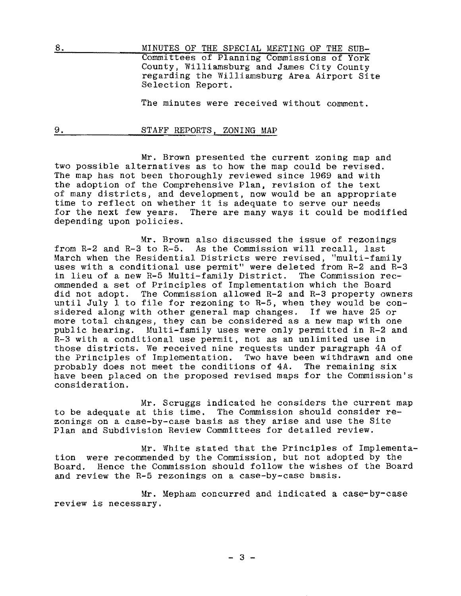8. MINUTES OF THE SPECIAL MEETING OF THE SUB-Committees of Planning Commissions of York County, Williamsburg and James City County regarding the Williamsburg Area Airport Site Selection Report.

The minutes were received without comment.

#### 9. STAFF REPORTS, ZONING MAP

Mr. Brown presented the current zoning map and two possible alternatives as to how the map could be revised. The map has not been thoroughly reviewed since 1969 and with the adoption of the Comprehensive Plan, revision of the text of many districts, and development, now would be an appropriate time to reflect on whether it is adequate to serve our needs for the next few years. There are many ways it could be modified depending upon policies.

Mr. Brown also discussed the issue of rezonings from R-2 and R-3 to R-5. As the Commission will recall, last March when the Residential Districts were revised, "multi-family uses with a conditional use permit" were deleted from R-2 and R-3 in lieu of a new R-5 Multi-family District. The Commission recommended a set of Principles of Implementation which the Board did not adopt. The Commission allowed R-2 and R-3 property owners until July I to file for rezoning to R-5, when they would be considered along with other general map changes. If we have 25 or more total changes, they can be considered as a new map with one public hearing. Multi-family uses were only permitted in R-2 and R-3 with a conditional use permit, not as an unlimited use in those districts. We received nine requests under paragraph 4A of the Principles of Implementation. Two have been withdrawn and one probably does not meet the conditions of 4A. The remaining six have been placed on the proposed revised maps for the Commission's consideration.

Mr. Scruggs indicated he considers the current map to be adequate at this time. The Commission should consider rezonings on a case-by-case basis as they arise and use the Site Plan and Subdivision Review Committees for detailed review.

Mr. White stated that the Principles of Implementation were recommended by the Commission, but not adopted by the Board. Hence the Commission should follow the wishes of the Board and review the R-5 rezonings on a case-by-case basis.

Mr. Mepham concurred and indicated a case-by-case review is necessary.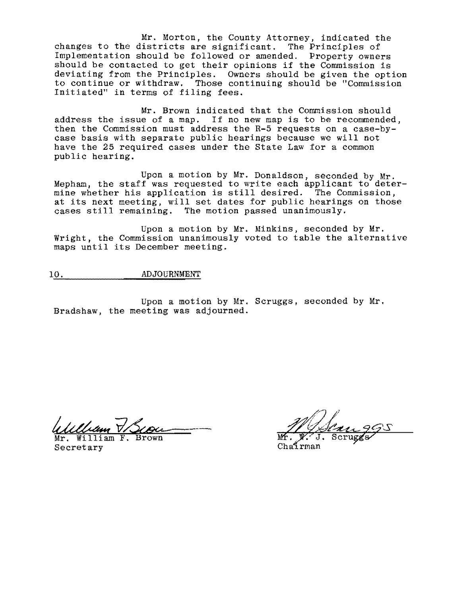Mr. Morton, the County Attorney, indicated the changes to the districts are significant. The Principles of Implementation should be followed or amended. Property owners should be contacted to get their opinions if the Commission is deviating from the Principles. Owners should be given the option to continue or withdraw. Those continuing should be "Commission Initiated" in terms of filing fees.

Mr. Brown indicated that the Commission should address the issue of a map. If no new map is to be recommended, then the Commission must address the R-5 requests on a case-bycase basis with separate public hearings because we will not have the 25 required cases under the State Law for a common public hearing.

Upon a motion by Mr. Donaldson, seconded by Mr. Mepham, the staff was requested to write each applicant to determine whether his application is still desired. The Commission, at its next meeting, will set dates for public hearings on those cases still remaining. The motion passed unanimously.

Upon a motion by Mr. Minkins, seconded by Mr. Wright, the Commission unanimously voted to table the alternative maps until its December meeting.

# 10. ADJOURNMENT

Upon a motion by Mr. Scruggs, seconded by Mr. Bradshaw, the meeting was adjourned.

William V Scou

Secretary

Chaírman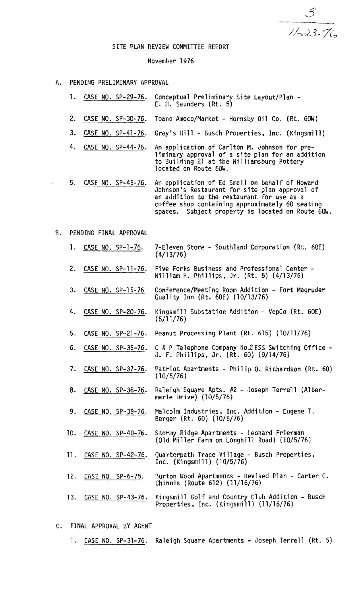$\mathcal{S}$ 

# SITE PLAN REVIEW COMMITTEE REPORT

#### November 1976

- A. PENDING PRELIMINARY APPROVAL
	- 1. CASE NO. SP-29-76. Conceptual Preliminary Site Layout/Plan -<br>E. H. Saunders (Rt. 5)
	- 2. CASE NO. SP-30-76. Toano Amoco/Market Hornsby Oil Co. (Rt. 60W)
	- 3. CASE NO. SP-41-76. Gray's Hill Busch Properties, Inc. (Kingsmill)
	- 4. CASE NO. SP-44-76. An application of Carlton M. Johnson for pre-<br>liminary approval of a site plan for an addition to Building 21 at the Williamsburg Pottery located on Route 60W.
	- 5. CASE NO. SP-45-76. An application of Ed Small on behalf of Howard Johnson's Restaurant for site plan approval of an addition to the restaurant for use as a coffee shop containing approximately 60 seating spaces. Subject property is located on Route 6OW.

# B. PENDING FINAL APPROVAL

- 1. CASE NO. SP-1-76. 7-Eleven Store Southland Corporation (Rt. 60E) (4/13/76)
- 2. CASE NO. SP-11-76. Five Forks Business and Professional Center -<br>William H. Phillips, Jr. (Rt. 5) (4/13/76)
- 3. CASE NO. SP-15-76 Conference/Meeting Room Addition Fort Magruder<br>Quality Inn (Rt. 60E) (10/13/76)
- 4. CASE NO. SP-20-76. Kingsmill Substation Addition VepCo (Rt. 60E)  $(5/11/76)$
- 5. CASE NO. SP-2l-76. Peanut Processing Plant (Rt. 615) (10/11/76)
- 6. CASE NO. SP-35-76. C & P Telephone Company No.2 ESS Switching Office -<br>J. F. Phillips, Jr. (Rt. 60) (9/14/76)
- 7. CASE NO. SP-37-76. Patriot Apartments Philip O. Richardson (Rt. 60)  $(10/5/76)$
- 8. CASE NO. SP-38-76. Raleigh Square Apts. #2 Joseph Terrell (Albermarle Drive) (10/5/76)
- 9. CASE NO. SP-39-76. Malcolm Industries, Inc. Addition Eugene T. Berger (Rt. 60) (10/5/76)
- 10. CASE NO. SP-40-76. Stormy Ridge Apartments Leonard Frierman (Old Miller Farm on Longhill Road) (10/5/76)
- ll. CASE NO. SP-42-76. Quarterpath Trace Village Busch Properties. Inc. (Kingsmill) (10/5/76)
- 12. CASE NO. SP-6-75. Burton Wood Apartments Revised Plan Carter C. Chinnis (Route 612) (11/16/76)
- 13. CASE NO. SP-43-76. Kingsmill Golf and Country Club Addition Busch Properties, Inc. (Kingsmill) (11/16/76)
- C. FINAL APPROVAL BY AGENT
	- 1. CASE NO. SP-31-76. Raleigh Square Apartments Joseph Terrell (Rt. 5)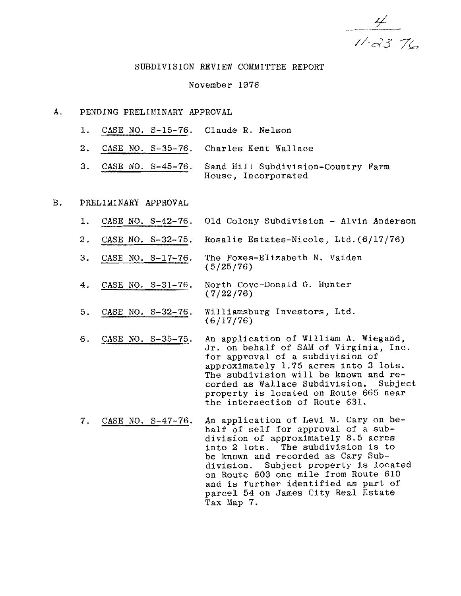$\frac{1}{11}$   $\frac{1}{6}$ 

### SUBDIVISION REVIEW COMMITTEE REPORT

# November 1976

#### A. PENDING PRELIMINARY APPROVAL

- 1. CASE NO. S-15-76. Claude R. Nelson
- 2. CASE NO. S-35-76. Charles Kent Wallace
- 3. CASE NO. S-45-76. Sand Hill Subdivision-Country Farm House, Incorporated

# B. PRELIMINARY APPROVAL

- 1. CASE NO. S-42-76. Old Colony Subdivision Alvin Anderson
- 2. CASE NO. S-32-75. Rosalie Estates-Nicole, Ltd.(6/17/76)
- 3. CASE NO. S-17-76. The Foxes-Elizabeth N. Vaiden (5/25/76)
- 4. CASE NO. S-31-76. North Cove-Donald G. Hunter (7/22/76)
- 5. CASE NO. S-32-76. Williamsburg Investors, Ltd. (6/17/76)
- 6. CASE NO. S-35-75. An application of William A. Wiegand, Jr. on behalf of SAM of Virginia, Inc. for approval of a subdivision of approximately 1.75 acres into 3 lots. The subdivision will be known and recorded as Wallace Subdivision. Subject property is located on Route 665 near the intersection of Route 631.
- 7. CASE NO. S-47-76. An application of Levi M. Cary on behalf of self for approval of a subdivision of approximately 8.5 acres into 2 lots. The subdivision is to be known and recorded as Cary Subdivision. Subject property is located on Route 603 one mile from Route 610 and is further identified as part of parcel 54 on James City Real Estate Tax Map 7.